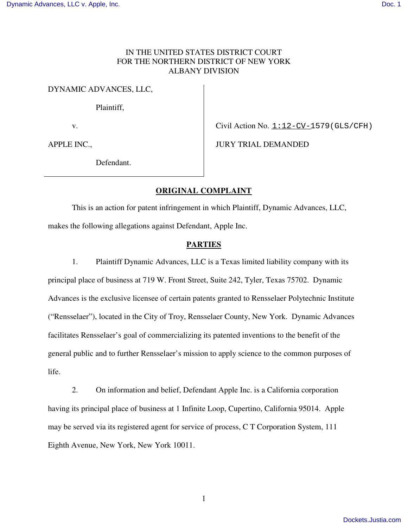# IN THE UNITED STATES DISTRICT COURT FOR THE NORTHERN DISTRICT OF NEW YORK ALBANY DIVISION

DYNAMIC ADVANCES, LLC,

Plaintiff,

v.

APPLE INC.,

Civil Action No. 1:12-CV-1579 (GLS/CFH)

JURY TRIAL DEMANDED

Defendant.

# **ORIGINAL COMPLAINT**

This is an action for patent infringement in which Plaintiff, Dynamic Advances, LLC, makes the following allegations against Defendant, Apple Inc.

## **PARTIES**

1. Plaintiff Dynamic Advances, LLC is a Texas limited liability company with its principal place of business at 719 W. Front Street, Suite 242, Tyler, Texas 75702. Dynamic Advances is the exclusive licensee of certain patents granted to Rensselaer Polytechnic Institute ("Rensselaer"), located in the City of Troy, Rensselaer County, New York. Dynamic Advances facilitates Rensselaer's goal of commercializing its patented inventions to the benefit of the general public and to further Rensselaer's mission to apply science to the common purposes of life.

2. On information and belief, Defendant Apple Inc. is a California corporation having its principal place of business at 1 Infinite Loop, Cupertino, California 95014. Apple may be served via its registered agent for service of process, C T Corporation System, 111 Eighth Avenue, New York, New York 10011.

1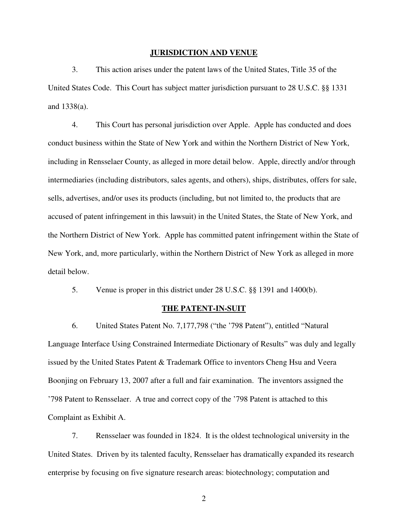#### **JURISDICTION AND VENUE**

3. This action arises under the patent laws of the United States, Title 35 of the United States Code. This Court has subject matter jurisdiction pursuant to 28 U.S.C. §§ 1331 and 1338(a).

4. This Court has personal jurisdiction over Apple. Apple has conducted and does conduct business within the State of New York and within the Northern District of New York, including in Rensselaer County, as alleged in more detail below. Apple, directly and/or through intermediaries (including distributors, sales agents, and others), ships, distributes, offers for sale, sells, advertises, and/or uses its products (including, but not limited to, the products that are accused of patent infringement in this lawsuit) in the United States, the State of New York, and the Northern District of New York. Apple has committed patent infringement within the State of New York, and, more particularly, within the Northern District of New York as alleged in more detail below.

5. Venue is proper in this district under 28 U.S.C. §§ 1391 and 1400(b).

## **THE PATENT-IN-SUIT**

6. United States Patent No. 7,177,798 ("the '798 Patent"), entitled "Natural Language Interface Using Constrained Intermediate Dictionary of Results" was duly and legally issued by the United States Patent & Trademark Office to inventors Cheng Hsu and Veera Boonjing on February 13, 2007 after a full and fair examination. The inventors assigned the '798 Patent to Rensselaer. A true and correct copy of the '798 Patent is attached to this Complaint as Exhibit A.

7. Rensselaer was founded in 1824. It is the oldest technological university in the United States. Driven by its talented faculty, Rensselaer has dramatically expanded its research enterprise by focusing on five signature research areas: biotechnology; computation and

2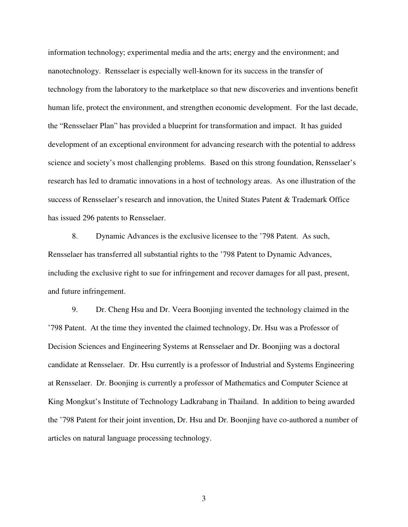information technology; experimental media and the arts; energy and the environment; and nanotechnology. Rensselaer is especially well-known for its success in the transfer of technology from the laboratory to the marketplace so that new discoveries and inventions benefit human life, protect the environment, and strengthen economic development. For the last decade, the "Rensselaer Plan" has provided a blueprint for transformation and impact. It has guided development of an exceptional environment for advancing research with the potential to address science and society's most challenging problems. Based on this strong foundation, Rensselaer's research has led to dramatic innovations in a host of technology areas. As one illustration of the success of Rensselaer's research and innovation, the United States Patent & Trademark Office has issued 296 patents to Rensselaer.

8. Dynamic Advances is the exclusive licensee to the '798 Patent. As such, Rensselaer has transferred all substantial rights to the '798 Patent to Dynamic Advances, including the exclusive right to sue for infringement and recover damages for all past, present, and future infringement.

9. Dr. Cheng Hsu and Dr. Veera Boonjing invented the technology claimed in the '798 Patent. At the time they invented the claimed technology, Dr. Hsu was a Professor of Decision Sciences and Engineering Systems at Rensselaer and Dr. Boonjing was a doctoral candidate at Rensselaer. Dr. Hsu currently is a professor of Industrial and Systems Engineering at Rensselaer. Dr. Boonjing is currently a professor of Mathematics and Computer Science at King Mongkut's Institute of Technology Ladkrabang in Thailand. In addition to being awarded the '798 Patent for their joint invention, Dr. Hsu and Dr. Boonjing have co-authored a number of articles on natural language processing technology.

3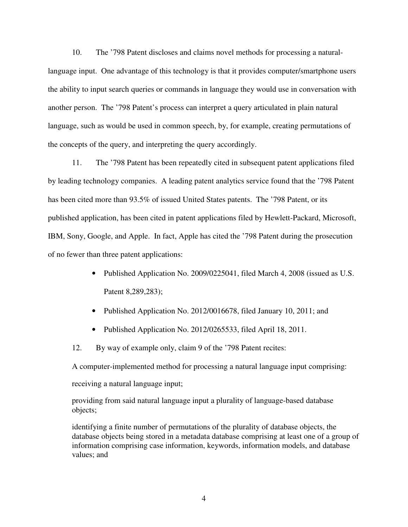10. The '798 Patent discloses and claims novel methods for processing a naturallanguage input. One advantage of this technology is that it provides computer/smartphone users the ability to input search queries or commands in language they would use in conversation with another person. The '798 Patent's process can interpret a query articulated in plain natural language, such as would be used in common speech, by, for example, creating permutations of the concepts of the query, and interpreting the query accordingly.

11. The '798 Patent has been repeatedly cited in subsequent patent applications filed by leading technology companies. A leading patent analytics service found that the '798 Patent has been cited more than 93.5% of issued United States patents. The '798 Patent, or its published application, has been cited in patent applications filed by Hewlett-Packard, Microsoft, IBM, Sony, Google, and Apple. In fact, Apple has cited the '798 Patent during the prosecution of no fewer than three patent applications:

- Published Application No. 2009/0225041, filed March 4, 2008 (issued as U.S. Patent 8,289,283);
- Published Application No. 2012/0016678, filed January 10, 2011; and
- Published Application No. 2012/0265533, filed April 18, 2011.
- 12. By way of example only, claim 9 of the '798 Patent recites:

A computer-implemented method for processing a natural language input comprising:

receiving a natural language input;

providing from said natural language input a plurality of language-based database objects;

identifying a finite number of permutations of the plurality of database objects, the database objects being stored in a metadata database comprising at least one of a group of information comprising case information, keywords, information models, and database values; and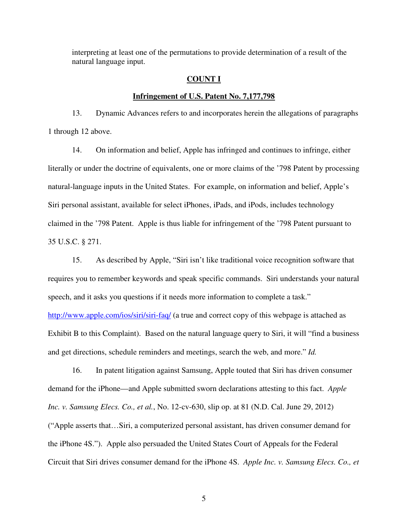interpreting at least one of the permutations to provide determination of a result of the natural language input.

#### **COUNT I**

#### **Infringement of U.S. Patent No. 7,177,798**

13. Dynamic Advances refers to and incorporates herein the allegations of paragraphs 1 through 12 above.

14. On information and belief, Apple has infringed and continues to infringe, either literally or under the doctrine of equivalents, one or more claims of the '798 Patent by processing natural-language inputs in the United States. For example, on information and belief, Apple's Siri personal assistant, available for select iPhones, iPads, and iPods, includes technology claimed in the '798 Patent. Apple is thus liable for infringement of the '798 Patent pursuant to 35 U.S.C. § 271.

15. As described by Apple, "Siri isn't like traditional voice recognition software that requires you to remember keywords and speak specific commands. Siri understands your natural speech, and it asks you questions if it needs more information to complete a task." http://www.apple.com/ios/siri/siri-faq/ (a true and correct copy of this webpage is attached as Exhibit B to this Complaint). Based on the natural language query to Siri, it will "find a business and get directions, schedule reminders and meetings, search the web, and more." *Id.* 

16. In patent litigation against Samsung, Apple touted that Siri has driven consumer demand for the iPhone—and Apple submitted sworn declarations attesting to this fact. *Apple Inc. v. Samsung Elecs. Co., et al.*, No. 12-cv-630, slip op. at 81 (N.D. Cal. June 29, 2012) ("Apple asserts that…Siri, a computerized personal assistant, has driven consumer demand for the iPhone 4S."). Apple also persuaded the United States Court of Appeals for the Federal Circuit that Siri drives consumer demand for the iPhone 4S. *Apple Inc. v. Samsung Elecs. Co., et*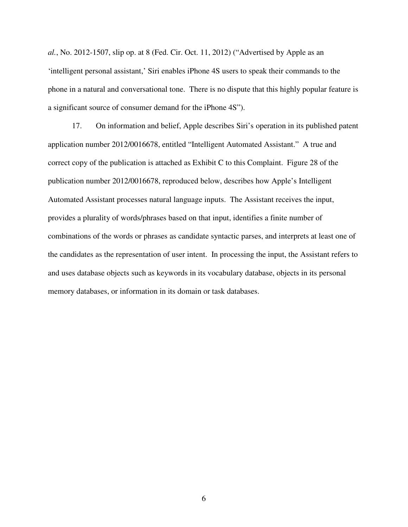*al.*, No. 2012-1507, slip op. at 8 (Fed. Cir. Oct. 11, 2012) ("Advertised by Apple as an 'intelligent personal assistant,' Siri enables iPhone 4S users to speak their commands to the phone in a natural and conversational tone. There is no dispute that this highly popular feature is a significant source of consumer demand for the iPhone 4S").

17. On information and belief, Apple describes Siri's operation in its published patent application number 2012/0016678, entitled "Intelligent Automated Assistant." A true and correct copy of the publication is attached as Exhibit C to this Complaint. Figure 28 of the publication number 2012/0016678, reproduced below, describes how Apple's Intelligent Automated Assistant processes natural language inputs. The Assistant receives the input, provides a plurality of words/phrases based on that input, identifies a finite number of combinations of the words or phrases as candidate syntactic parses, and interprets at least one of the candidates as the representation of user intent. In processing the input, the Assistant refers to and uses database objects such as keywords in its vocabulary database, objects in its personal memory databases, or information in its domain or task databases.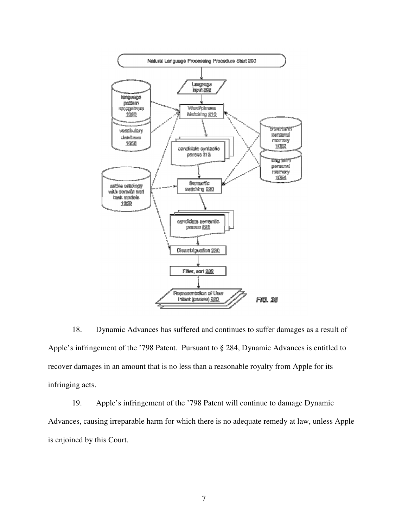

18. Dynamic Advances has suffered and continues to suffer damages as a result of Apple's infringement of the '798 Patent. Pursuant to § 284, Dynamic Advances is entitled to recover damages in an amount that is no less than a reasonable royalty from Apple for its infringing acts.

19. Apple's infringement of the '798 Patent will continue to damage Dynamic Advances, causing irreparable harm for which there is no adequate remedy at law, unless Apple is enjoined by this Court.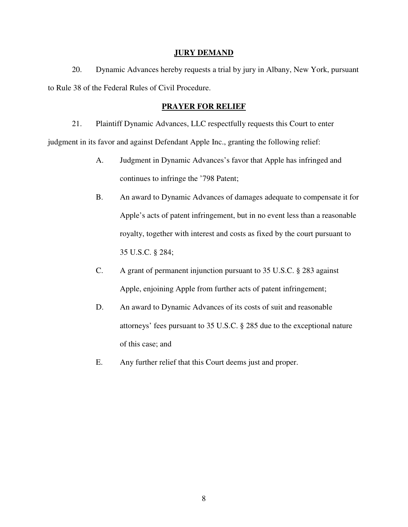#### **JURY DEMAND**

20. Dynamic Advances hereby requests a trial by jury in Albany, New York, pursuant to Rule 38 of the Federal Rules of Civil Procedure.

## **PRAYER FOR RELIEF**

21. Plaintiff Dynamic Advances, LLC respectfully requests this Court to enter judgment in its favor and against Defendant Apple Inc., granting the following relief:

- A. Judgment in Dynamic Advances's favor that Apple has infringed and continues to infringe the '798 Patent;
- B. An award to Dynamic Advances of damages adequate to compensate it for Apple's acts of patent infringement, but in no event less than a reasonable royalty, together with interest and costs as fixed by the court pursuant to 35 U.S.C. § 284;
- C. A grant of permanent injunction pursuant to 35 U.S.C. § 283 against Apple, enjoining Apple from further acts of patent infringement;
- D. An award to Dynamic Advances of its costs of suit and reasonable attorneys' fees pursuant to 35 U.S.C. § 285 due to the exceptional nature of this case; and
- E. Any further relief that this Court deems just and proper.